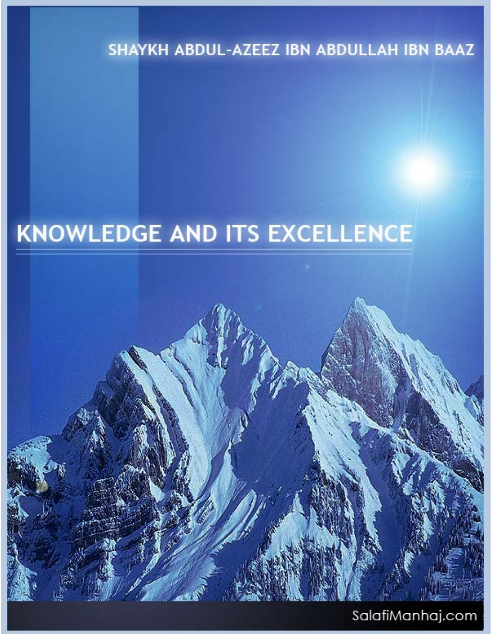SHAYKH ABDUL-AZEEZ IBN ABDULLAH IBN BAAZ

# **KNOWLEDGE AND ITS EXCELLENCE**



# SalafiManhaj.com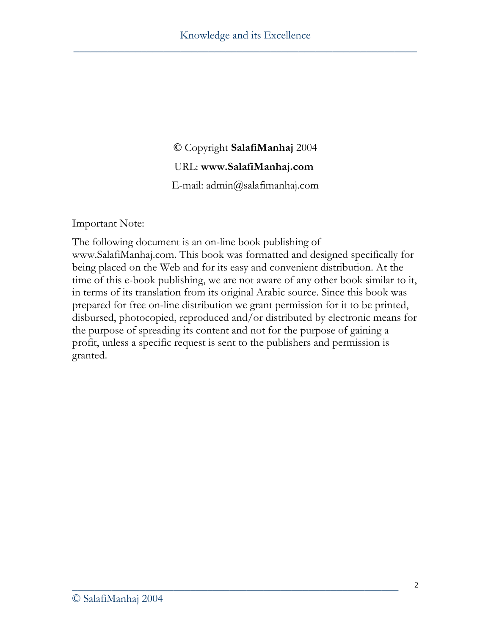#### **©** Copyright **SalafiManhaj** 2004

#### URL: **www.SalafiManhaj.com**

E-mail: admin@salafimanhaj.com

Important Note:

The following document is an on-line book publishing of www.SalafiManhaj.com. This book was formatted and designed specifically for being placed on the Web and for its easy and convenient distribution. At the time of this e-book publishing, we are not aware of any other book similar to it, in terms of its translation from its original Arabic source. Since this book was prepared for free on-line distribution we grant permission for it to be printed, disbursed, photocopied, reproduced and/or distributed by electronic means for the purpose of spreading its content and not for the purpose of gaining a profit, unless a specific request is sent to the publishers and permission is granted.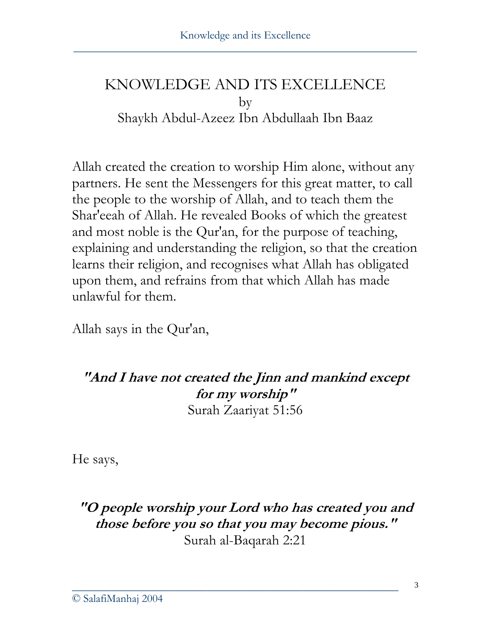## KNOWLEDGE AND ITS EXCELLENCE by Shaykh Abdul-Azeez Ibn Abdullaah Ibn Baaz

Allah created the creation to worship Him alone, without any partners. He sent the Messengers for this great matter, to call the people to the worship of Allah, and to teach them the Shar'eeah of Allah. He revealed Books of which the greatest and most noble is the Qur'an, for the purpose of teaching, explaining and understanding the religion, so that the creation learns their religion, and recognises what Allah has obligated upon them, and refrains from that which Allah has made unlawful for them.

Allah says in the Qur'an,

**"And I have not created the Jinn and mankind except for my worship"**  Surah Zaariyat 51:56

He says,

### **"O people worship your Lord who has created you and those before you so that you may become pious."**  Surah al-Baqarah 2:21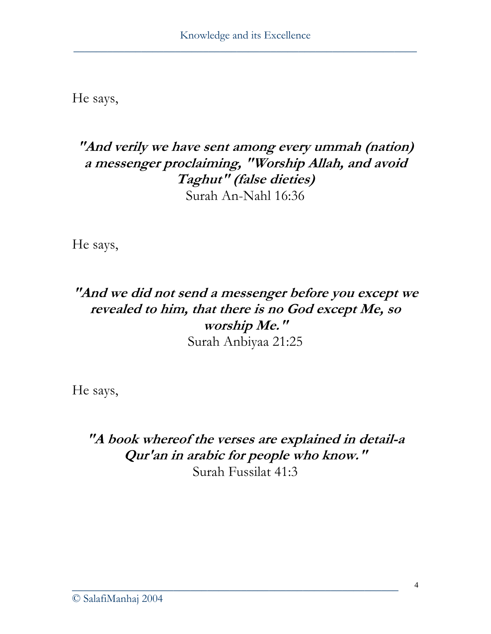He says,

#### **"And verily we have sent among every ummah (nation) a messenger proclaiming, "Worship Allah, and avoid Taghut" (false dieties)**  Surah An-Nahl 16:36

He says,

#### **"And we did not send a messenger before you except we revealed to him, that there is no God except Me, so worship Me."**  Surah Anbiyaa 21:25

He says,

**"A book whereof the verses are explained in detail-a Qur'an in arabic for people who know."**  Surah Fussilat 41:3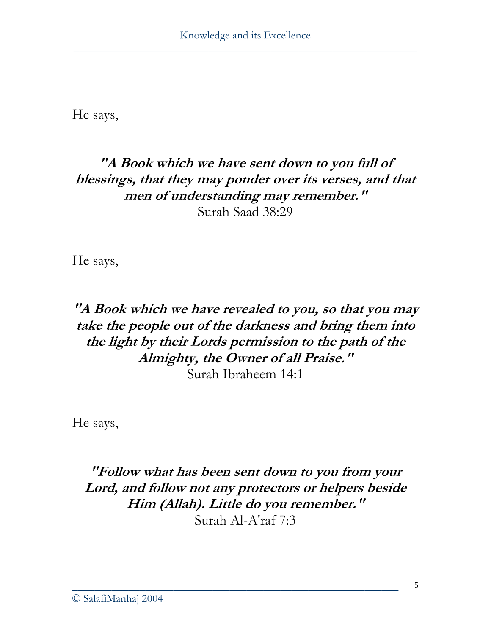He says,

#### **"A Book which we have sent down to you full of blessings, that they may ponder over its verses, and that men of understanding may remember."**  Surah Saad 38:29

He says,

#### **"A Book which we have revealed to you, so that you may take the people out of the darkness and bring them into the light by their Lords permission to the path of the Almighty, the Owner of all Praise."**  Surah Ibraheem 14:1

He says,

**"Follow what has been sent down to you from your Lord, and follow not any protectors or helpers beside Him (Allah). Little do you remember."**  Surah Al-A'raf 7:3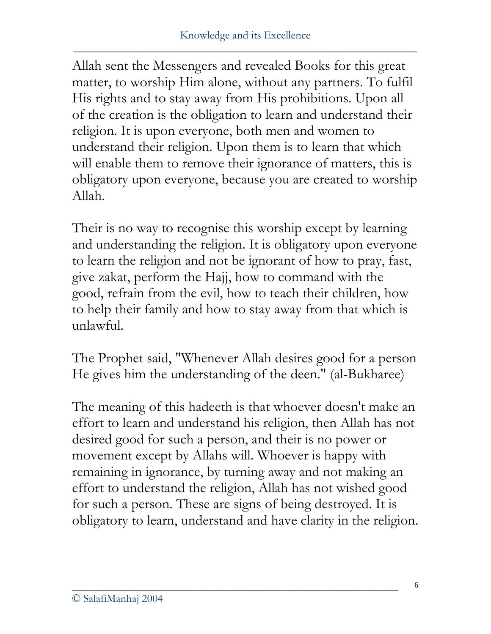Allah sent the Messengers and revealed Books for this great matter, to worship Him alone, without any partners. To fulfil His rights and to stay away from His prohibitions. Upon all of the creation is the obligation to learn and understand their religion. It is upon everyone, both men and women to understand their religion. Upon them is to learn that which will enable them to remove their ignorance of matters, this is obligatory upon everyone, because you are created to worship Allah.

Their is no way to recognise this worship except by learning and understanding the religion. It is obligatory upon everyone to learn the religion and not be ignorant of how to pray, fast, give zakat, perform the Hajj, how to command with the good, refrain from the evil, how to teach their children, how to help their family and how to stay away from that which is unlawful.

The Prophet said, "Whenever Allah desires good for a person He gives him the understanding of the deen." (al-Bukharee)

The meaning of this hadeeth is that whoever doesn't make an effort to learn and understand his religion, then Allah has not desired good for such a person, and their is no power or movement except by Allahs will. Whoever is happy with remaining in ignorance, by turning away and not making an effort to understand the religion, Allah has not wished good for such a person. These are signs of being destroyed. It is obligatory to learn, understand and have clarity in the religion.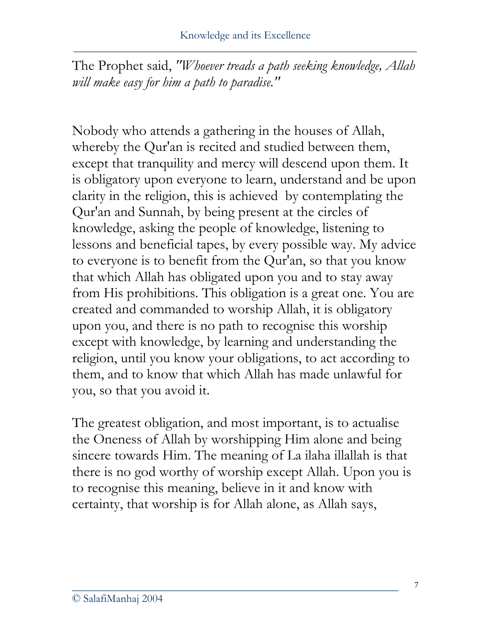The Prophet said, *"Whoever treads a path seeking knowledge, Allah will make easy for him a path to paradise."*

Nobody who attends a gathering in the houses of Allah, whereby the Qur'an is recited and studied between them, except that tranquility and mercy will descend upon them. It is obligatory upon everyone to learn, understand and be upon clarity in the religion, this is achieved by contemplating the Qur'an and Sunnah, by being present at the circles of knowledge, asking the people of knowledge, listening to lessons and beneficial tapes, by every possible way. My advice to everyone is to benefit from the Qur'an, so that you know that which Allah has obligated upon you and to stay away from His prohibitions. This obligation is a great one. You are created and commanded to worship Allah, it is obligatory upon you, and there is no path to recognise this worship except with knowledge, by learning and understanding the religion, until you know your obligations, to act according to them, and to know that which Allah has made unlawful for you, so that you avoid it.

The greatest obligation, and most important, is to actualise the Oneness of Allah by worshipping Him alone and being sincere towards Him. The meaning of La ilaha illallah is that there is no god worthy of worship except Allah. Upon you is to recognise this meaning, believe in it and know with certainty, that worship is for Allah alone, as Allah says,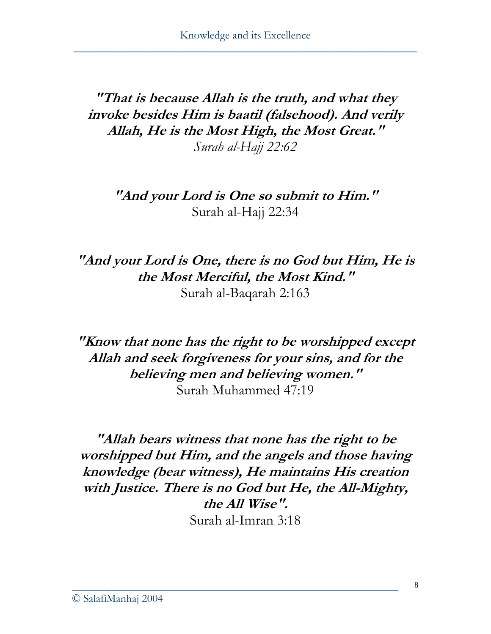**"That is because Allah is the truth, and what they invoke besides Him is baatil (falsehood). And verily Allah, He is the Most High, the Most Great."**  *Surah al-Hajj 22:62* 

**"And your Lord is One so submit to Him."**  Surah al-Hajj 22:34

**"And your Lord is One, there is no God but Him, He is the Most Merciful, the Most Kind."**  Surah al-Baqarah 2:163

**"Know that none has the right to be worshipped except Allah and seek forgiveness for your sins, and for the believing men and believing women."**  Surah Muhammed 47:19

**"Allah bears witness that none has the right to be worshipped but Him, and the angels and those having knowledge (bear witness), He maintains His creation with Justice. There is no God but He, the All-Mighty, the All Wise".**  Surah al-Imran 3:18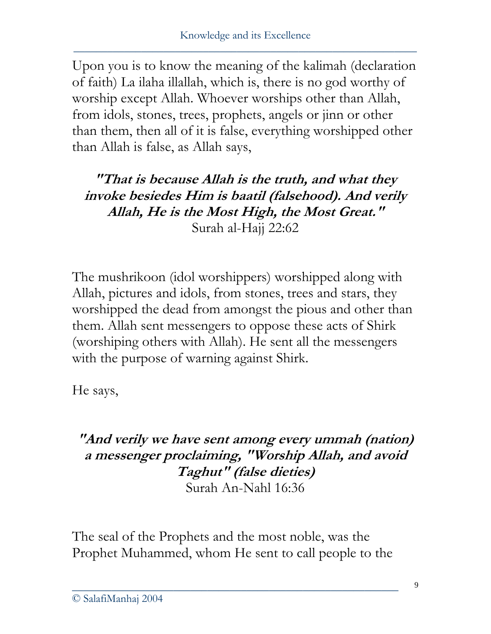Upon you is to know the meaning of the kalimah (declaration of faith) La ilaha illallah, which is, there is no god worthy of worship except Allah. Whoever worships other than Allah, from idols, stones, trees, prophets, angels or jinn or other than them, then all of it is false, everything worshipped other than Allah is false, as Allah says,

**"That is because Allah is the truth, and what they invoke besiedes Him is baatil (falsehood). And verily Allah, He is the Most High, the Most Great."**  Surah al-Hajj 22:62

The mushrikoon (idol worshippers) worshipped along with Allah, pictures and idols, from stones, trees and stars, they worshipped the dead from amongst the pious and other than them. Allah sent messengers to oppose these acts of Shirk (worshiping others with Allah). He sent all the messengers with the purpose of warning against Shirk.

He says,

#### **"And verily we have sent among every ummah (nation) a messenger proclaiming, "Worship Allah, and avoid Taghut" (false dieties)**  Surah An-Nahl 16:36

The seal of the Prophets and the most noble, was the Prophet Muhammed, whom He sent to call people to the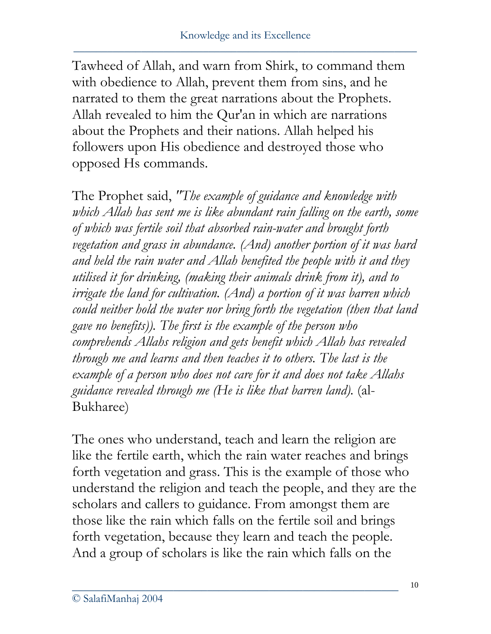Tawheed of Allah, and warn from Shirk, to command them with obedience to Allah, prevent them from sins, and he narrated to them the great narrations about the Prophets. Allah revealed to him the Qur'an in which are narrations about the Prophets and their nations. Allah helped his followers upon His obedience and destroyed those who opposed Hs commands.

The Prophet said, *"The example of guidance and knowledge with which Allah has sent me is like abundant rain falling on the earth, some of which was fertile soil that absorbed rain-water and brought forth vegetation and grass in abundance. (And) another portion of it was hard and held the rain water and Allah benefited the people with it and they utilised it for drinking, (making their animals drink from it), and to irrigate the land for cultivation. (And) a portion of it was barren which could neither hold the water nor bring forth the vegetation (then that land gave no benefits)). The first is the example of the person who comprehends Allahs religion and gets benefit which Allah has revealed through me and learns and then teaches it to others. The last is the example of a person who does not care for it and does not take Allahs guidance revealed through me (He is like that barren land).* (al-Bukharee)

The ones who understand, teach and learn the religion are like the fertile earth, which the rain water reaches and brings forth vegetation and grass. This is the example of those who understand the religion and teach the people, and they are the scholars and callers to guidance. From amongst them are those like the rain which falls on the fertile soil and brings forth vegetation, because they learn and teach the people. And a group of scholars is like the rain which falls on the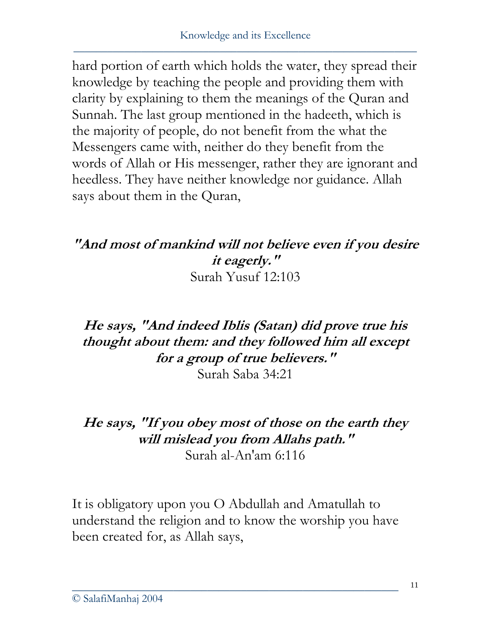hard portion of earth which holds the water, they spread their knowledge by teaching the people and providing them with clarity by explaining to them the meanings of the Quran and Sunnah. The last group mentioned in the hadeeth, which is the majority of people, do not benefit from the what the Messengers came with, neither do they benefit from the words of Allah or His messenger, rather they are ignorant and heedless. They have neither knowledge nor guidance. Allah says about them in the Quran,

#### **"And most of mankind will not believe even if you desire it eagerly."**  Surah Yusuf 12:103

## **He says, "And indeed Iblis (Satan) did prove true his thought about them: and they followed him all except for a group of true believers."**

Surah Saba 34:21

#### **He says, "If you obey most of those on the earth they will mislead you from Allahs path."**  Surah al-An'am 6:116

It is obligatory upon you O Abdullah and Amatullah to understand the religion and to know the worship you have been created for, as Allah says,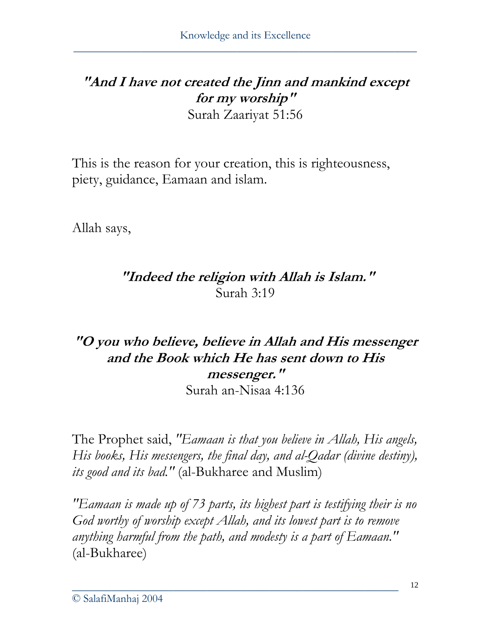#### **"And I have not created the Jinn and mankind except for my worship"**  Surah Zaariyat 51:56

This is the reason for your creation, this is righteousness, piety, guidance, Eamaan and islam.

Allah says,

### **"Indeed the religion with Allah is Islam."**  Surah 3:19

## **"O you who believe, believe in Allah and His messenger and the Book which He has sent down to His messenger."**

Surah an-Nisaa 4:136

The Prophet said, *"Eamaan is that you believe in Allah, His angels, His books, His messengers, the final day, and al-Qadar (divine destiny), its good and its bad."* (al-Bukharee and Muslim)

*"Eamaan is made up of 73 parts, its highest part is testifying their is no God worthy of worship except Allah, and its lowest part is to remove anything harmful from the path, and modesty is a part of Eamaan."* (al-Bukharee)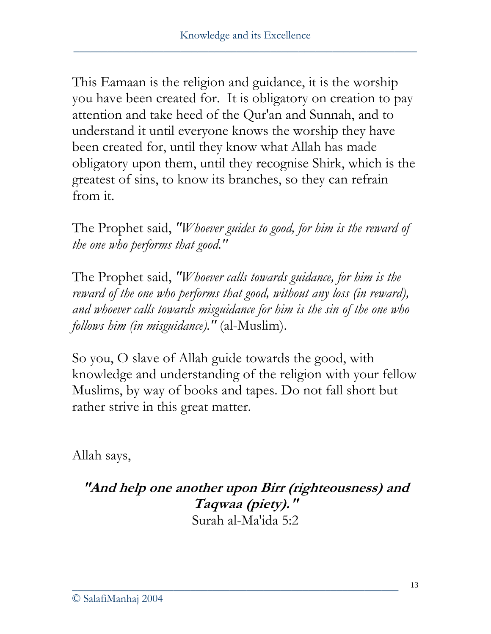This Eamaan is the religion and guidance, it is the worship you have been created for. It is obligatory on creation to pay attention and take heed of the Qur'an and Sunnah, and to understand it until everyone knows the worship they have been created for, until they know what Allah has made obligatory upon them, until they recognise Shirk, which is the greatest of sins, to know its branches, so they can refrain from it.

The Prophet said, *"Whoever guides to good, for him is the reward of the one who performs that good."*

The Prophet said, *"Whoever calls towards guidance, for him is the reward of the one who performs that good, without any loss (in reward), and whoever calls towards misguidance for him is the sin of the one who follows him (in misguidance)."* (al-Muslim).

So you, O slave of Allah guide towards the good, with knowledge and understanding of the religion with your fellow Muslims, by way of books and tapes. Do not fall short but rather strive in this great matter.

Allah says,

**"And help one another upon Birr (righteousness) and Taqwaa (piety)."**  Surah al-Ma'ida 5:2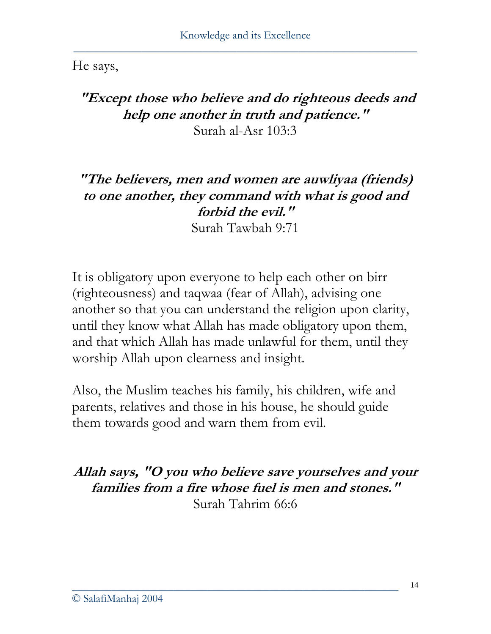He says,

### **"Except those who believe and do righteous deeds and help one another in truth and patience."**  Surah al-Asr 103:3

# **"The believers, men and women are auwliyaa (friends) to one another, they command with what is good and forbid the evil."**

Surah Tawbah 9:71

It is obligatory upon everyone to help each other on birr (righteousness) and taqwaa (fear of Allah), advising one another so that you can understand the religion upon clarity, until they know what Allah has made obligatory upon them, and that which Allah has made unlawful for them, until they worship Allah upon clearness and insight.

Also, the Muslim teaches his family, his children, wife and parents, relatives and those in his house, he should guide them towards good and warn them from evil.

**Allah says, "O you who believe save yourselves and your families from a fire whose fuel is men and stones."**  Surah Tahrim 66:6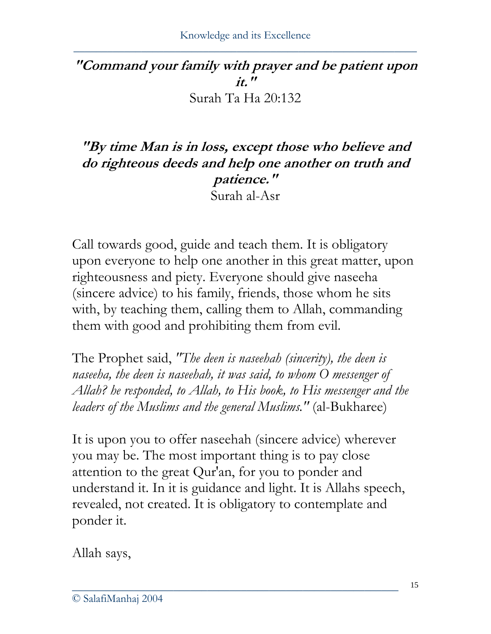#### **"Command your family with prayer and be patient upon it."**  Surah Ta Ha 20:132

#### **"By time Man is in loss, except those who believe and do righteous deeds and help one another on truth and patience."**  Surah al-Asr

Call towards good, guide and teach them. It is obligatory upon everyone to help one another in this great matter, upon righteousness and piety. Everyone should give naseeha (sincere advice) to his family, friends, those whom he sits with, by teaching them, calling them to Allah, commanding them with good and prohibiting them from evil.

The Prophet said, *"The deen is naseehah (sincerity), the deen is naseeha, the deen is naseehah, it was said, to whom O messenger of Allah? he responded, to Allah, to His book, to His messenger and the leaders of the Muslims and the general Muslims."* (al-Bukharee)

It is upon you to offer naseehah (sincere advice) wherever you may be. The most important thing is to pay close attention to the great Qur'an, for you to ponder and understand it. In it is guidance and light. It is Allahs speech, revealed, not created. It is obligatory to contemplate and ponder it.

\_\_\_\_\_\_\_\_\_\_\_\_\_\_\_\_\_\_\_\_\_\_\_\_\_\_\_\_\_\_\_\_\_\_\_\_\_\_\_\_\_\_\_\_\_\_\_\_\_\_\_\_\_\_\_\_\_\_

Allah says,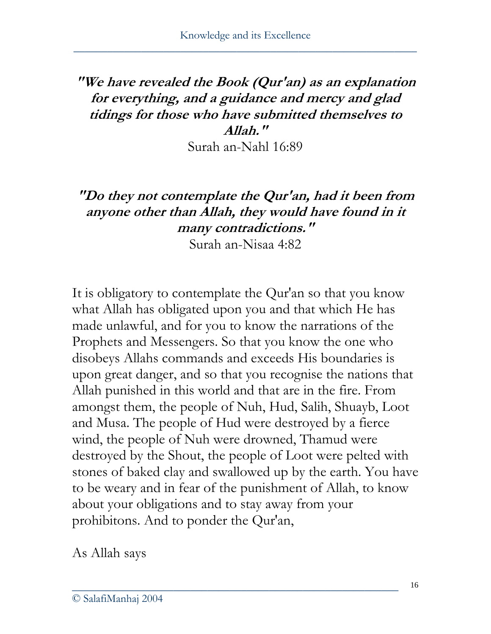## **"We have revealed the Book (Qur'an) as an explanation for everything, and a guidance and mercy and glad tidings for those who have submitted themselves to Allah."**

Surah an-Nahl 16:89

## **"Do they not contemplate the Qur'an, had it been from anyone other than Allah, they would have found in it many contradictions."**

Surah an-Nisaa 4:82

It is obligatory to contemplate the Qur'an so that you know what Allah has obligated upon you and that which He has made unlawful, and for you to know the narrations of the Prophets and Messengers. So that you know the one who disobeys Allahs commands and exceeds His boundaries is upon great danger, and so that you recognise the nations that Allah punished in this world and that are in the fire. From amongst them, the people of Nuh, Hud, Salih, Shuayb, Loot and Musa. The people of Hud were destroyed by a fierce wind, the people of Nuh were drowned, Thamud were destroyed by the Shout, the people of Loot were pelted with stones of baked clay and swallowed up by the earth. You have to be weary and in fear of the punishment of Allah, to know about your obligations and to stay away from your prohibitons. And to ponder the Qur'an,

\_\_\_\_\_\_\_\_\_\_\_\_\_\_\_\_\_\_\_\_\_\_\_\_\_\_\_\_\_\_\_\_\_\_\_\_\_\_\_\_\_\_\_\_\_\_\_\_\_\_\_\_\_\_\_\_\_\_

As Allah says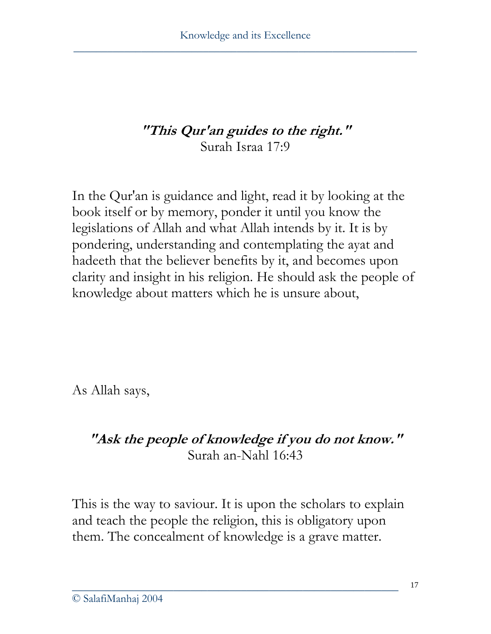### **"This Qur'an guides to the right."**  Surah Israa 17:9

In the Qur'an is guidance and light, read it by looking at the book itself or by memory, ponder it until you know the legislations of Allah and what Allah intends by it. It is by pondering, understanding and contemplating the ayat and hadeeth that the believer benefits by it, and becomes upon clarity and insight in his religion. He should ask the people of knowledge about matters which he is unsure about,

As Allah says,

#### **"Ask the people of knowledge if you do not know."**  Surah an-Nahl 16:43

This is the way to saviour. It is upon the scholars to explain and teach the people the religion, this is obligatory upon them. The concealment of knowledge is a grave matter.